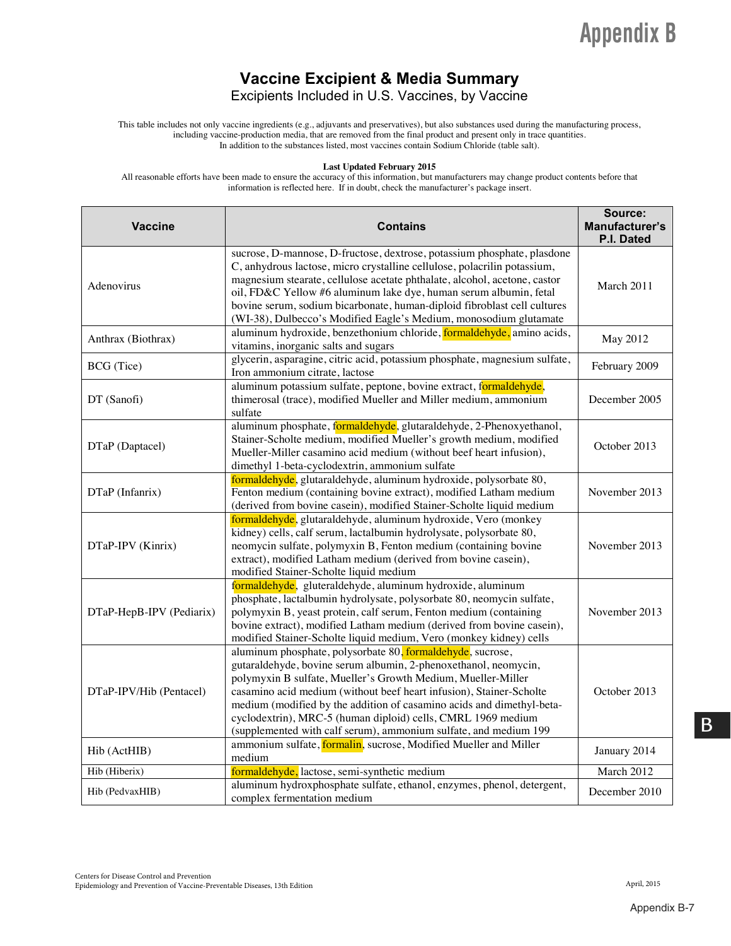#### **Vaccine Excipient & Media Summary**

Excipients Included in U.S. Vaccines, by Vaccine

 This table includes not only vaccine ingredients (e.g., adjuvants and preservatives), but also substances used during the manufacturing process, including vaccine-production media, that are removed from the final product and present only in trace quantities. In addition to the substances listed, most vaccines contain Sodium Chloride (table salt).

#### **Last Updated February 2015**

All reasonable efforts have been made to ensure the accuracy of this information, but manufacturers may change product contents before that information is reflected here. If in doubt, check the manufacturer's package insert.

| <b>Vaccine</b>           | <b>Contains</b>                                                                                                                                                                                                                                                                                                                                                                                                                                                                   | Source:<br>Manufacturer's<br>P.I. Dated |
|--------------------------|-----------------------------------------------------------------------------------------------------------------------------------------------------------------------------------------------------------------------------------------------------------------------------------------------------------------------------------------------------------------------------------------------------------------------------------------------------------------------------------|-----------------------------------------|
| Adenovirus               | sucrose, D-mannose, D-fructose, dextrose, potassium phosphate, plasdone<br>C, anhydrous lactose, micro crystalline cellulose, polacrilin potassium,<br>magnesium stearate, cellulose acetate phthalate, alcohol, acetone, castor<br>oil, FD&C Yellow #6 aluminum lake dye, human serum albumin, fetal<br>bovine serum, sodium bicarbonate, human-diploid fibroblast cell cultures<br>(WI-38), Dulbecco's Modified Eagle's Medium, monosodium glutamate                            | March 2011                              |
| Anthrax (Biothrax)       | aluminum hydroxide, benzethonium chloride, formaldehyde, amino acids,<br>vitamins, inorganic salts and sugars                                                                                                                                                                                                                                                                                                                                                                     | May 2012                                |
| BCG (Tice)               | glycerin, asparagine, citric acid, potassium phosphate, magnesium sulfate,<br>Iron ammonium citrate, lactose                                                                                                                                                                                                                                                                                                                                                                      | February 2009                           |
| DT (Sanofi)              | aluminum potassium sulfate, peptone, bovine extract, formaldehyde,<br>thimerosal (trace), modified Mueller and Miller medium, ammonium<br>sulfate                                                                                                                                                                                                                                                                                                                                 | December 2005                           |
| DTaP (Daptacel)          | aluminum phosphate, formaldehyde, glutaraldehyde, 2-Phenoxyethanol,<br>Stainer-Scholte medium, modified Mueller's growth medium, modified<br>Mueller-Miller casamino acid medium (without beef heart infusion),<br>dimethyl 1-beta-cyclodextrin, ammonium sulfate                                                                                                                                                                                                                 | October 2013                            |
| DTaP (Infanrix)          | formaldehyde, glutaraldehyde, aluminum hydroxide, polysorbate 80,<br>Fenton medium (containing bovine extract), modified Latham medium<br>(derived from bovine casein), modified Stainer-Scholte liquid medium                                                                                                                                                                                                                                                                    | November 2013                           |
| DTaP-IPV (Kinrix)        | formaldehyde, glutaraldehyde, aluminum hydroxide, Vero (monkey<br>kidney) cells, calf serum, lactalbumin hydrolysate, polysorbate 80,<br>neomycin sulfate, polymyxin B, Fenton medium (containing bovine<br>extract), modified Latham medium (derived from bovine casein),<br>modified Stainer-Scholte liquid medium                                                                                                                                                              | November 2013                           |
| DTaP-HepB-IPV (Pediarix) | formaldehyde, gluteraldehyde, aluminum hydroxide, aluminum<br>phosphate, lactalbumin hydrolysate, polysorbate 80, neomycin sulfate,<br>polymyxin B, yeast protein, calf serum, Fenton medium (containing<br>bovine extract), modified Latham medium (derived from bovine casein),<br>modified Stainer-Scholte liquid medium, Vero (monkey kidney) cells                                                                                                                           | November 2013                           |
| DTaP-IPV/Hib (Pentacel)  | aluminum phosphate, polysorbate 80, formaldehyde, sucrose,<br>gutaraldehyde, bovine serum albumin, 2-phenoxethanol, neomycin,<br>polymyxin B sulfate, Mueller's Growth Medium, Mueller-Miller<br>casamino acid medium (without beef heart infusion), Stainer-Scholte<br>medium (modified by the addition of casamino acids and dimethyl-beta-<br>cyclodextrin), MRC-5 (human diploid) cells, CMRL 1969 medium<br>(supplemented with calf serum), ammonium sulfate, and medium 199 | October 2013                            |
| Hib (ActHIB)             | ammonium sulfate, formalin, sucrose, Modified Mueller and Miller<br>medium                                                                                                                                                                                                                                                                                                                                                                                                        | January 2014                            |
| Hib (Hiberix)            | formaldehyde, lactose, semi-synthetic medium                                                                                                                                                                                                                                                                                                                                                                                                                                      | March 2012                              |
| Hib (PedvaxHIB)          | aluminum hydroxphosphate sulfate, ethanol, enzymes, phenol, detergent,<br>complex fermentation medium                                                                                                                                                                                                                                                                                                                                                                             | December 2010                           |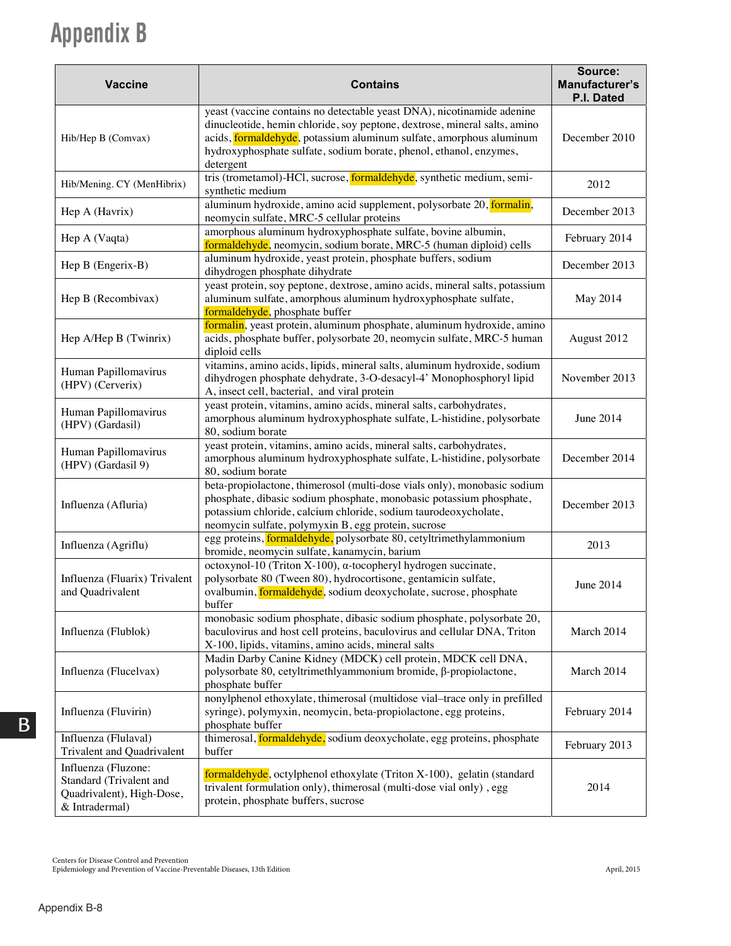| <b>Vaccine</b>                                                                                | <b>Contains</b>                                                                                                                                                                                                                                                                                               | Source:<br>Manufacturer's<br>P.I. Dated |
|-----------------------------------------------------------------------------------------------|---------------------------------------------------------------------------------------------------------------------------------------------------------------------------------------------------------------------------------------------------------------------------------------------------------------|-----------------------------------------|
| Hib/Hep B (Comvax)                                                                            | yeast (vaccine contains no detectable yeast DNA), nicotinamide adenine<br>dinucleotide, hemin chloride, soy peptone, dextrose, mineral salts, amino<br>acids, formaldehyde, potassium aluminum sulfate, amorphous aluminum<br>hydroxyphosphate sulfate, sodium borate, phenol, ethanol, enzymes,<br>detergent | December 2010                           |
| Hib/Mening. CY (MenHibrix)                                                                    | tris (trometamol)-HCl, sucrose, <i>formaldehyde</i> , synthetic medium, semi-<br>synthetic medium                                                                                                                                                                                                             | 2012                                    |
| Hep A (Havrix)                                                                                | aluminum hydroxide, amino acid supplement, polysorbate 20, formalin,<br>neomycin sulfate, MRC-5 cellular proteins                                                                                                                                                                                             | December 2013                           |
| Hep A (Vaqta)                                                                                 | amorphous aluminum hydroxyphosphate sulfate, bovine albumin,<br>formaldehyde, neomycin, sodium borate, MRC-5 (human diploid) cells                                                                                                                                                                            | February 2014                           |
| Hep B (Engerix-B)                                                                             | aluminum hydroxide, yeast protein, phosphate buffers, sodium<br>dihydrogen phosphate dihydrate                                                                                                                                                                                                                | December 2013                           |
| Hep B (Recombivax)                                                                            | yeast protein, soy peptone, dextrose, amino acids, mineral salts, potassium<br>aluminum sulfate, amorphous aluminum hydroxyphosphate sulfate,<br>formaldehyde, phosphate buffer                                                                                                                               | May 2014                                |
| Hep A/Hep B (Twinrix)                                                                         | formalin, yeast protein, aluminum phosphate, aluminum hydroxide, amino<br>acids, phosphate buffer, polysorbate 20, neomycin sulfate, MRC-5 human<br>diploid cells                                                                                                                                             | August 2012                             |
| Human Papillomavirus<br>(HPV) (Cerverix)                                                      | vitamins, amino acids, lipids, mineral salts, aluminum hydroxide, sodium<br>dihydrogen phosphate dehydrate, 3-O-desacyl-4' Monophosphoryl lipid<br>A, insect cell, bacterial, and viral protein                                                                                                               | November 2013                           |
| Human Papillomavirus<br>(HPV) (Gardasil)                                                      | yeast protein, vitamins, amino acids, mineral salts, carbohydrates,<br>amorphous aluminum hydroxyphosphate sulfate, L-histidine, polysorbate<br>80, sodium borate                                                                                                                                             | June 2014                               |
| Human Papillomavirus<br>(HPV) (Gardasil 9)                                                    | yeast protein, vitamins, amino acids, mineral salts, carbohydrates,<br>amorphous aluminum hydroxyphosphate sulfate, L-histidine, polysorbate<br>80, sodium borate                                                                                                                                             | December 2014                           |
| Influenza (Afluria)                                                                           | beta-propiolactone, thimerosol (multi-dose vials only), monobasic sodium<br>phosphate, dibasic sodium phosphate, monobasic potassium phosphate,<br>potassium chloride, calcium chloride, sodium taurodeoxycholate,<br>neomycin sulfate, polymyxin B, egg protein, sucrose                                     | December 2013                           |
| Influenza (Agriflu)                                                                           | egg proteins, formaldehyde, polysorbate 80, cetyltrimethylammonium<br>bromide, neomycin sulfate, kanamycin, barium                                                                                                                                                                                            | 2013                                    |
| Influenza (Fluarix) Trivalent<br>and Quadrivalent                                             | octoxynol-10 (Triton X-100), α-tocopheryl hydrogen succinate,<br>polysorbate 80 (Tween 80), hydrocortisone, gentamicin sulfate,<br>ovalbumin, formaldehyde, sodium deoxycholate, sucrose, phosphate<br>buffer                                                                                                 | June 2014                               |
| Influenza (Flublok)                                                                           | monobasic sodium phosphate, dibasic sodium phosphate, polysorbate 20,<br>baculovirus and host cell proteins, baculovirus and cellular DNA, Triton<br>X-100, lipids, vitamins, amino acids, mineral salts                                                                                                      | March 2014                              |
| Influenza (Flucelvax)                                                                         | Madin Darby Canine Kidney (MDCK) cell protein, MDCK cell DNA,<br>polysorbate 80, cetyltrimethlyammonium bromide, β-propiolactone,<br>phosphate buffer                                                                                                                                                         | March 2014                              |
| Influenza (Fluvirin)                                                                          | nonylphenol ethoxylate, thimerosal (multidose vial-trace only in prefilled<br>syringe), polymyxin, neomycin, beta-propiolactone, egg proteins,<br>phosphate buffer                                                                                                                                            | February 2014                           |
| Influenza (Flulaval)<br>Trivalent and Quadrivalent                                            | thimerosal, <b>formaldehyde</b> , sodium deoxycholate, egg proteins, phosphate<br>buffer                                                                                                                                                                                                                      | February 2013                           |
| Influenza (Fluzone:<br>Standard (Trivalent and<br>Quadrivalent), High-Dose,<br>& Intradermal) | formaldehyde, octylphenol ethoxylate (Triton X-100), gelatin (standard<br>trivalent formulation only), thimerosal (multi-dose vial only), egg<br>protein, phosphate buffers, sucrose                                                                                                                          | 2014                                    |

 $\,$  Centers for Disease Control and Prevention

Epidemiology and Prevention of Vaccine-Preventable Diseases, 13th Edition April, 2015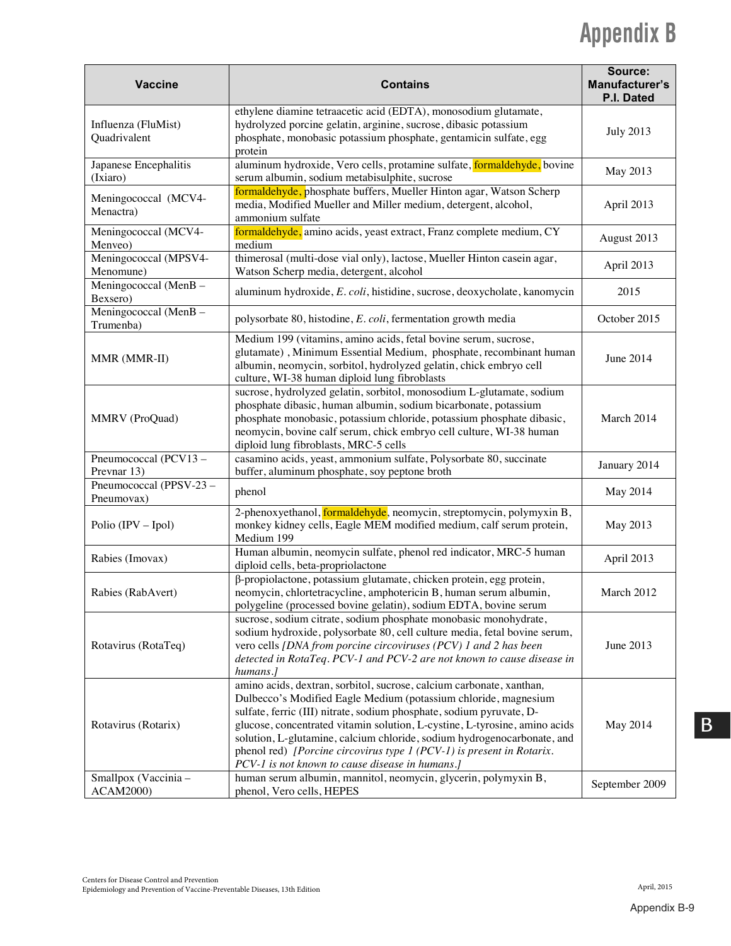| <b>Vaccine</b>                           | <b>Contains</b>                                                                                                                                                                                                                                                                                                                                                                                                                                                                                      | Source:<br>Manufacturer's<br>P.I. Dated |
|------------------------------------------|------------------------------------------------------------------------------------------------------------------------------------------------------------------------------------------------------------------------------------------------------------------------------------------------------------------------------------------------------------------------------------------------------------------------------------------------------------------------------------------------------|-----------------------------------------|
| Influenza (FluMist)<br>Quadrivalent      | ethylene diamine tetraacetic acid (EDTA), monosodium glutamate,<br>hydrolyzed porcine gelatin, arginine, sucrose, dibasic potassium<br>phosphate, monobasic potassium phosphate, gentamicin sulfate, egg<br>protein                                                                                                                                                                                                                                                                                  | <b>July 2013</b>                        |
| Japanese Encephalitis<br>(Ixiaro)        | aluminum hydroxide, Vero cells, protamine sulfate, formaldehyde, bovine<br>serum albumin, sodium metabisulphite, sucrose                                                                                                                                                                                                                                                                                                                                                                             | May 2013                                |
| Meningococcal (MCV4-<br>Menactra)        | formaldehyde, phosphate buffers, Mueller Hinton agar, Watson Scherp<br>media, Modified Mueller and Miller medium, detergent, alcohol,<br>ammonium sulfate                                                                                                                                                                                                                                                                                                                                            | April 2013                              |
| Meningococcal (MCV4-<br>Menveo)          | formaldehyde, amino acids, yeast extract, Franz complete medium, CY<br>medium                                                                                                                                                                                                                                                                                                                                                                                                                        | August 2013                             |
| Meningococcal (MPSV4-<br>Menomune)       | thimerosal (multi-dose vial only), lactose, Mueller Hinton casein agar,<br>Watson Scherp media, detergent, alcohol                                                                                                                                                                                                                                                                                                                                                                                   | April 2013                              |
| Meningococcal (MenB-<br>Bexsero)         | aluminum hydroxide, E. coli, histidine, sucrose, deoxycholate, kanomycin                                                                                                                                                                                                                                                                                                                                                                                                                             | 2015                                    |
| Meningococcal (MenB -<br>Trumenba)       | polysorbate 80, histodine, E. coli, fermentation growth media                                                                                                                                                                                                                                                                                                                                                                                                                                        | October 2015                            |
| MMR (MMR-II)                             | Medium 199 (vitamins, amino acids, fetal bovine serum, sucrose,<br>glutamate), Minimum Essential Medium, phosphate, recombinant human<br>albumin, neomycin, sorbitol, hydrolyzed gelatin, chick embryo cell<br>culture, WI-38 human diploid lung fibroblasts                                                                                                                                                                                                                                         | June 2014                               |
| MMRV (ProQuad)                           | sucrose, hydrolyzed gelatin, sorbitol, monosodium L-glutamate, sodium<br>phosphate dibasic, human albumin, sodium bicarbonate, potassium<br>phosphate monobasic, potassium chloride, potassium phosphate dibasic,<br>neomycin, bovine calf serum, chick embryo cell culture, WI-38 human<br>diploid lung fibroblasts, MRC-5 cells                                                                                                                                                                    | March 2014                              |
| Pneumococcal (PCV13-<br>Prevnar 13)      | casamino acids, yeast, ammonium sulfate, Polysorbate 80, succinate<br>buffer, aluminum phosphate, soy peptone broth                                                                                                                                                                                                                                                                                                                                                                                  | January 2014                            |
| Pneumococcal (PPSV-23 -<br>Pneumovax)    | phenol                                                                                                                                                                                                                                                                                                                                                                                                                                                                                               | May 2014                                |
| Polio (IPV – Ipol)                       | 2-phenoxyethanol, formaldehyde, neomycin, streptomycin, polymyxin B,<br>monkey kidney cells, Eagle MEM modified medium, calf serum protein,<br>Medium 199                                                                                                                                                                                                                                                                                                                                            | May 2013                                |
| Rabies (Imovax)                          | Human albumin, neomycin sulfate, phenol red indicator, MRC-5 human<br>diploid cells, beta-propriolactone                                                                                                                                                                                                                                                                                                                                                                                             | April 2013                              |
| Rabies (RabAvert)                        | β-propiolactone, potassium glutamate, chicken protein, egg protein,<br>neomycin, chlortetracycline, amphotericin B, human serum albumin,<br>polygeline (processed bovine gelatin), sodium EDTA, bovine serum                                                                                                                                                                                                                                                                                         | March 2012                              |
| Rotavirus (RotaTeq)                      | sucrose, sodium citrate, sodium phosphate monobasic monohydrate,<br>sodium hydroxide, polysorbate 80, cell culture media, fetal bovine serum,<br>vero cells [DNA from porcine circoviruses (PCV) 1 and 2 has been<br>detected in RotaTeq. PCV-1 and PCV-2 are not known to cause disease in<br>humans.]                                                                                                                                                                                              | June 2013                               |
| Rotavirus (Rotarix)                      | amino acids, dextran, sorbitol, sucrose, calcium carbonate, xanthan,<br>Dulbecco's Modified Eagle Medium (potassium chloride, magnesium<br>sulfate, ferric (III) nitrate, sodium phosphate, sodium pyruvate, D-<br>glucose, concentrated vitamin solution, L-cystine, L-tyrosine, amino acids<br>solution, L-glutamine, calcium chloride, sodium hydrogenocarbonate, and<br>phenol red) [Porcine circovirus type 1 (PCV-1) is present in Rotarix.<br>PCV-1 is not known to cause disease in humans.] | May 2014                                |
| Smallpox (Vaccinia -<br><b>ACAM2000)</b> | human serum albumin, mannitol, neomycin, glycerin, polymyxin B,<br>phenol, Vero cells, HEPES                                                                                                                                                                                                                                                                                                                                                                                                         | September 2009                          |